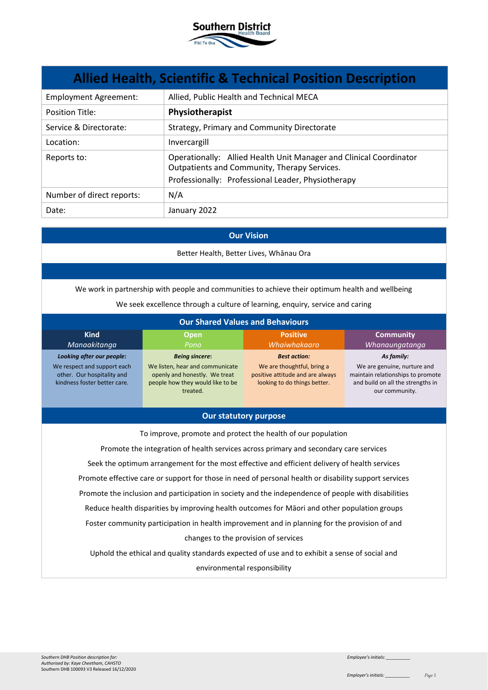

| <b>Allied Health, Scientific &amp; Technical Position Description</b> |                                                                                                                    |  |
|-----------------------------------------------------------------------|--------------------------------------------------------------------------------------------------------------------|--|
| <b>Employment Agreement:</b>                                          | Allied, Public Health and Technical MECA                                                                           |  |
| <b>Position Title:</b>                                                | Physiotherapist                                                                                                    |  |
| Service & Directorate:                                                | Strategy, Primary and Community Directorate                                                                        |  |
| Location:                                                             | Invercargill                                                                                                       |  |
| Reports to:                                                           | Operationally: Allied Health Unit Manager and Clinical Coordinator<br>Outpatients and Community, Therapy Services. |  |
|                                                                       | Professionally: Professional Leader, Physiotherapy                                                                 |  |
| Number of direct reports:                                             | N/A                                                                                                                |  |
| Date:                                                                 | January 2022                                                                                                       |  |

#### **Our Vision**

Better Health, Better Lives, Whānau Ora

We work in partnership with people and communities to achieve their optimum health and wellbeing

We seek excellence through a culture of learning, enquiry, service and caring

| <b>Our Shared Values and Behaviours</b>                                                                                |                                                                                                                                           |                                                                                                                       |                                                                                                                                       |
|------------------------------------------------------------------------------------------------------------------------|-------------------------------------------------------------------------------------------------------------------------------------------|-----------------------------------------------------------------------------------------------------------------------|---------------------------------------------------------------------------------------------------------------------------------------|
| <b>Kind</b><br>Manaakitanga                                                                                            | <b>Open</b><br>Pono                                                                                                                       | <b>Positive</b><br>Whaiwhakaaro                                                                                       | <b>Community</b><br>Whanaungatanga                                                                                                    |
| Looking after our people:<br>We respect and support each<br>other. Our hospitality and<br>kindness foster better care. | <b>Being sincere:</b><br>We listen, hear and communicate<br>openly and honestly. We treat<br>people how they would like to be<br>treated. | <b>Best action:</b><br>We are thoughtful, bring a<br>positive attitude and are always<br>looking to do things better. | As family:<br>We are genuine, nurture and<br>maintain relationships to promote<br>and build on all the strengths in<br>our community. |

### **Our statutory purpose**

To improve, promote and protect the health of our population

Promote the integration of health services across primary and secondary care services Seek the optimum arrangement for the most effective and efficient delivery of health services Promote effective care or support for those in need of personal health or disability support services Promote the inclusion and participation in society and the independence of people with disabilities Reduce health disparities by improving health outcomes for Māori and other population groups Foster community participation in health improvement and in planning for the provision of and changes to the provision of services

Uphold the ethical and quality standards expected of use and to exhibit a sense of social and environmental responsibility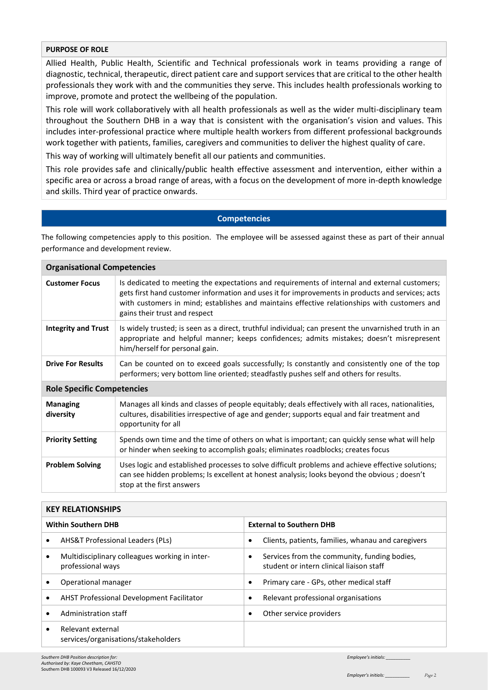## **PURPOSE OF ROLE**

Allied Health, Public Health, Scientific and Technical professionals work in teams providing a range of diagnostic, technical, therapeutic, direct patient care and support services that are critical to the other health professionals they work with and the communities they serve. This includes health professionals working to improve, promote and protect the wellbeing of the population.

This role will work collaboratively with all health professionals as well as the wider multi-disciplinary team throughout the Southern DHB in a way that is consistent with the organisation's vision and values. This includes inter-professional practice where multiple health workers from different professional backgrounds work together with patients, families, caregivers and communities to deliver the highest quality of care.

This way of working will ultimately benefit all our patients and communities.

This role provides safe and clinically/public health effective assessment and intervention, either within a specific area or across a broad range of areas, with a focus on the development of more in-depth knowledge and skills. Third year of practice onwards.

### **Competencies**

The following competencies apply to this position. The employee will be assessed against these as part of their annual performance and development review.

| <b>Organisational Competencies</b> |                                                                                                                                                                                                                                                                                                                                    |  |
|------------------------------------|------------------------------------------------------------------------------------------------------------------------------------------------------------------------------------------------------------------------------------------------------------------------------------------------------------------------------------|--|
| <b>Customer Focus</b>              | Is dedicated to meeting the expectations and requirements of internal and external customers;<br>gets first hand customer information and uses it for improvements in products and services; acts<br>with customers in mind; establishes and maintains effective relationships with customers and<br>gains their trust and respect |  |
| <b>Integrity and Trust</b>         | Is widely trusted; is seen as a direct, truthful individual; can present the unvarnished truth in an<br>appropriate and helpful manner; keeps confidences; admits mistakes; doesn't misrepresent<br>him/herself for personal gain.                                                                                                 |  |
| <b>Drive For Results</b>           | Can be counted on to exceed goals successfully; Is constantly and consistently one of the top<br>performers; very bottom line oriented; steadfastly pushes self and others for results.                                                                                                                                            |  |
| <b>Role Specific Competencies</b>  |                                                                                                                                                                                                                                                                                                                                    |  |
| <b>Managing</b><br>diversity       | Manages all kinds and classes of people equitably; deals effectively with all races, nationalities,<br>cultures, disabilities irrespective of age and gender; supports equal and fair treatment and<br>opportunity for all                                                                                                         |  |
| <b>Priority Setting</b>            | Spends own time and the time of others on what is important; can quickly sense what will help<br>or hinder when seeking to accomplish goals; eliminates roadblocks; creates focus                                                                                                                                                  |  |
| <b>Problem Solving</b>             | Uses logic and established processes to solve difficult problems and achieve effective solutions;<br>can see hidden problems; Is excellent at honest analysis; looks beyond the obvious; doesn't<br>stop at the first answers                                                                                                      |  |

| <b>KEY RELATIONSHIPS</b>                                                         |                                                                                          |  |
|----------------------------------------------------------------------------------|------------------------------------------------------------------------------------------|--|
| <b>Within Southern DHB</b>                                                       | <b>External to Southern DHB</b>                                                          |  |
| <b>AHS&amp;T Professional Leaders (PLs)</b><br>$\bullet$                         | Clients, patients, families, whanau and caregivers<br>٠                                  |  |
| Multidisciplinary colleagues working in inter-<br>$\bullet$<br>professional ways | Services from the community, funding bodies,<br>student or intern clinical liaison staff |  |
| Operational manager                                                              | Primary care - GPs, other medical staff                                                  |  |
| <b>AHST Professional Development Facilitator</b><br>$\bullet$                    | Relevant professional organisations                                                      |  |
| Administration staff                                                             | Other service providers                                                                  |  |
| Relevant external<br>services/organisations/stakeholders                         |                                                                                          |  |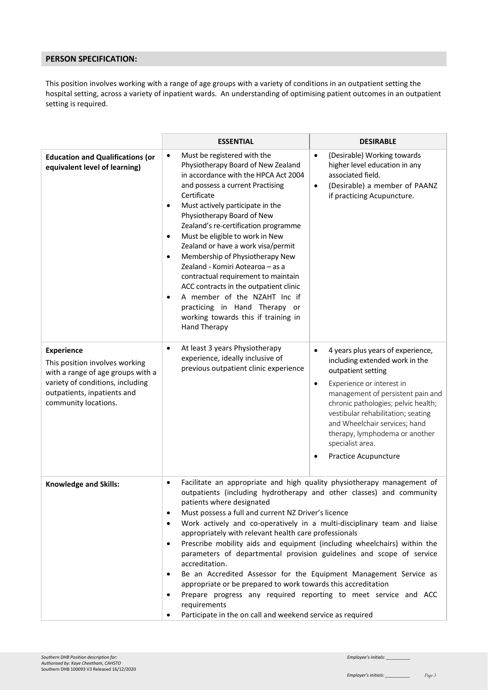# **PERSON SPECIFICATION:**

This position involves working with a range of age groups with a variety of conditions in an outpatient setting the hospital setting, across a variety of inpatient wards. An understanding of optimising patient outcomes in an outpatient setting is required.

|                                                                                                                                                                                     | <b>ESSENTIAL</b>                                                                                                                                                                                                                                                                                                                                                                                                                                                                                                                                                                                                                                                                                                                                                                                                                                                                                                | <b>DESIRABLE</b>                                                                                                                                                                                                                                                                                                                                                                               |
|-------------------------------------------------------------------------------------------------------------------------------------------------------------------------------------|-----------------------------------------------------------------------------------------------------------------------------------------------------------------------------------------------------------------------------------------------------------------------------------------------------------------------------------------------------------------------------------------------------------------------------------------------------------------------------------------------------------------------------------------------------------------------------------------------------------------------------------------------------------------------------------------------------------------------------------------------------------------------------------------------------------------------------------------------------------------------------------------------------------------|------------------------------------------------------------------------------------------------------------------------------------------------------------------------------------------------------------------------------------------------------------------------------------------------------------------------------------------------------------------------------------------------|
| <b>Education and Qualifications (or</b><br>equivalent level of learning)                                                                                                            | Must be registered with the<br>$\bullet$<br>Physiotherapy Board of New Zealand<br>in accordance with the HPCA Act 2004<br>and possess a current Practising<br>Certificate<br>Must actively participate in the<br>$\bullet$<br>Physiotherapy Board of New<br>Zealand's re-certification programme<br>Must be eligible to work in New<br>$\bullet$<br>Zealand or have a work visa/permit<br>Membership of Physiotherapy New<br>$\bullet$<br>Zealand - Komiri Aotearoa - as a<br>contractual requirement to maintain<br>ACC contracts in the outpatient clinic<br>A member of the NZAHT Inc if<br>٠<br>practicing in Hand Therapy or<br>working towards this if training in<br><b>Hand Therapy</b>                                                                                                                                                                                                                 | (Desirable) Working towards<br>$\bullet$<br>higher level education in any<br>associated field.<br>(Desirable) a member of PAANZ<br>$\bullet$<br>if practicing Acupuncture.                                                                                                                                                                                                                     |
| <b>Experience</b><br>This position involves working<br>with a range of age groups with a<br>variety of conditions, including<br>outpatients, inpatients and<br>community locations. | At least 3 years Physiotherapy<br>$\bullet$<br>experience, ideally inclusive of<br>previous outpatient clinic experience                                                                                                                                                                                                                                                                                                                                                                                                                                                                                                                                                                                                                                                                                                                                                                                        | 4 years plus years of experience,<br>$\bullet$<br>including extended work in the<br>outpatient setting<br>Experience or interest in<br>$\bullet$<br>management of persistent pain and<br>chronic pathologies; pelvic health;<br>vestibular rehabilitation; seating<br>and Wheelchair services; hand<br>therapy, lymphodema or another<br>specialist area.<br>Practice Acupuncture<br>$\bullet$ |
| <b>Knowledge and Skills:</b>                                                                                                                                                        | Facilitate an appropriate and high quality physiotherapy management of<br>$\bullet$<br>outpatients (including hydrotherapy and other classes) and community<br>patients where designated<br>Must possess a full and current NZ Driver's licence<br>$\bullet$<br>Work actively and co-operatively in a multi-disciplinary team and liaise<br>$\bullet$<br>appropriately with relevant health care professionals<br>Prescribe mobility aids and equipment (including wheelchairs) within the<br>$\bullet$<br>parameters of departmental provision guidelines and scope of service<br>accreditation.<br>Be an Accredited Assessor for the Equipment Management Service as<br>$\bullet$<br>appropriate or be prepared to work towards this accreditation<br>Prepare progress any required reporting to meet service and ACC<br>٠<br>requirements<br>Participate in the on call and weekend service as required<br>٠ |                                                                                                                                                                                                                                                                                                                                                                                                |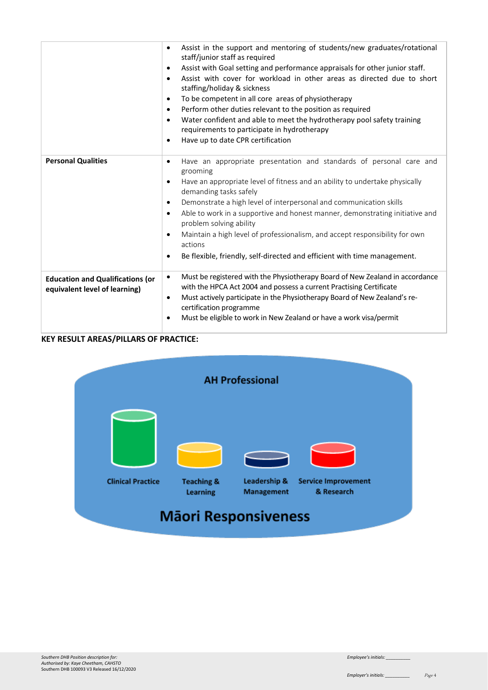|                                                                          | Assist in the support and mentoring of students/new graduates/rotational<br>$\bullet$<br>staff/junior staff as required<br>Assist with Goal setting and performance appraisals for other junior staff.<br>٠<br>Assist with cover for workload in other areas as directed due to short<br>$\bullet$<br>staffing/holiday & sickness<br>To be competent in all core areas of physiotherapy<br>$\bullet$<br>Perform other duties relevant to the position as required<br>$\bullet$<br>Water confident and able to meet the hydrotherapy pool safety training<br>$\bullet$<br>requirements to participate in hydrotherapy<br>Have up to date CPR certification<br>$\bullet$ |
|--------------------------------------------------------------------------|------------------------------------------------------------------------------------------------------------------------------------------------------------------------------------------------------------------------------------------------------------------------------------------------------------------------------------------------------------------------------------------------------------------------------------------------------------------------------------------------------------------------------------------------------------------------------------------------------------------------------------------------------------------------|
| <b>Personal Qualities</b>                                                | Have an appropriate presentation and standards of personal care and<br>$\bullet$<br>grooming<br>Have an appropriate level of fitness and an ability to undertake physically<br>٠<br>demanding tasks safely<br>Demonstrate a high level of interpersonal and communication skills<br>$\bullet$<br>Able to work in a supportive and honest manner, demonstrating initiative and<br>$\bullet$<br>problem solving ability<br>Maintain a high level of professionalism, and accept responsibility for own<br>$\bullet$<br>actions<br>Be flexible, friendly, self-directed and efficient with time management.<br>٠                                                          |
| <b>Education and Qualifications (or</b><br>equivalent level of learning) | Must be registered with the Physiotherapy Board of New Zealand in accordance<br>$\bullet$<br>with the HPCA Act 2004 and possess a current Practising Certificate<br>Must actively participate in the Physiotherapy Board of New Zealand's re-<br>٠<br>certification programme<br>Must be eligible to work in New Zealand or have a work visa/permit<br>٠                                                                                                                                                                                                                                                                                                               |

# **KEY RESULT AREAS/PILLARS OF PRACTICE:**

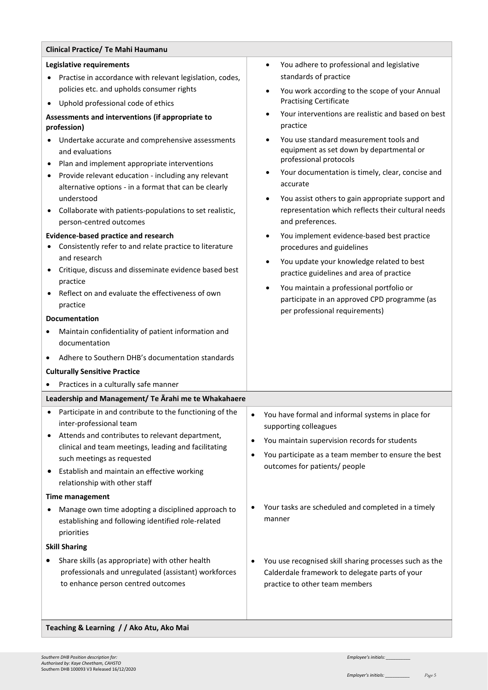| Clinical Practice/ Te Mahi Haumanu                                                                                                                                                                                                                                                                                                                                                                                                                                                                                                                                                                                                                                                                                                                                                                                                                                                                                                                                                                       |                                                                                                                                                                                                                                                                                                                                                                                                                                                                                                                                                                                                                                                                                                                                                                                                                                                                                  |
|----------------------------------------------------------------------------------------------------------------------------------------------------------------------------------------------------------------------------------------------------------------------------------------------------------------------------------------------------------------------------------------------------------------------------------------------------------------------------------------------------------------------------------------------------------------------------------------------------------------------------------------------------------------------------------------------------------------------------------------------------------------------------------------------------------------------------------------------------------------------------------------------------------------------------------------------------------------------------------------------------------|----------------------------------------------------------------------------------------------------------------------------------------------------------------------------------------------------------------------------------------------------------------------------------------------------------------------------------------------------------------------------------------------------------------------------------------------------------------------------------------------------------------------------------------------------------------------------------------------------------------------------------------------------------------------------------------------------------------------------------------------------------------------------------------------------------------------------------------------------------------------------------|
| Legislative requirements<br>Practise in accordance with relevant legislation, codes,<br>policies etc. and upholds consumer rights<br>Uphold professional code of ethics<br>Assessments and interventions (if appropriate to<br>profession)<br>Undertake accurate and comprehensive assessments<br>and evaluations<br>Plan and implement appropriate interventions<br>Provide relevant education - including any relevant<br>alternative options - in a format that can be clearly<br>understood<br>Collaborate with patients-populations to set realistic,<br>person-centred outcomes<br><b>Evidence-based practice and research</b><br>Consistently refer to and relate practice to literature<br>and research<br>Critique, discuss and disseminate evidence based best<br>practice<br>Reflect on and evaluate the effectiveness of own<br>practice<br><b>Documentation</b><br>Maintain confidentiality of patient information and<br>documentation<br>Adhere to Southern DHB's documentation standards | You adhere to professional and legislative<br>$\bullet$<br>standards of practice<br>You work according to the scope of your Annual<br><b>Practising Certificate</b><br>Your interventions are realistic and based on best<br>$\bullet$<br>practice<br>You use standard measurement tools and<br>equipment as set down by departmental or<br>professional protocols<br>Your documentation is timely, clear, concise and<br>$\bullet$<br>accurate<br>You assist others to gain appropriate support and<br>representation which reflects their cultural needs<br>and preferences.<br>You implement evidence-based best practice<br>procedures and guidelines<br>You update your knowledge related to best<br>practice guidelines and area of practice<br>You maintain a professional portfolio or<br>participate in an approved CPD programme (as<br>per professional requirements) |
| <b>Culturally Sensitive Practice</b>                                                                                                                                                                                                                                                                                                                                                                                                                                                                                                                                                                                                                                                                                                                                                                                                                                                                                                                                                                     |                                                                                                                                                                                                                                                                                                                                                                                                                                                                                                                                                                                                                                                                                                                                                                                                                                                                                  |
| Practices in a culturally safe manner                                                                                                                                                                                                                                                                                                                                                                                                                                                                                                                                                                                                                                                                                                                                                                                                                                                                                                                                                                    |                                                                                                                                                                                                                                                                                                                                                                                                                                                                                                                                                                                                                                                                                                                                                                                                                                                                                  |
| Leadership and Management/ Te Arahi me te Whakahaere                                                                                                                                                                                                                                                                                                                                                                                                                                                                                                                                                                                                                                                                                                                                                                                                                                                                                                                                                     |                                                                                                                                                                                                                                                                                                                                                                                                                                                                                                                                                                                                                                                                                                                                                                                                                                                                                  |
| Participate in and contribute to the functioning of the<br>inter-professional team<br>Attends and contributes to relevant department,<br>clinical and team meetings, leading and facilitating<br>such meetings as requested<br>Establish and maintain an effective working<br>relationship with other staff<br><b>Time management</b>                                                                                                                                                                                                                                                                                                                                                                                                                                                                                                                                                                                                                                                                    | You have formal and informal systems in place for<br>supporting colleagues<br>You maintain supervision records for students<br>$\bullet$<br>You participate as a team member to ensure the best<br>٠<br>outcomes for patients/ people                                                                                                                                                                                                                                                                                                                                                                                                                                                                                                                                                                                                                                            |
| Manage own time adopting a disciplined approach to<br>establishing and following identified role-related<br>priorities                                                                                                                                                                                                                                                                                                                                                                                                                                                                                                                                                                                                                                                                                                                                                                                                                                                                                   | Your tasks are scheduled and completed in a timely<br>manner                                                                                                                                                                                                                                                                                                                                                                                                                                                                                                                                                                                                                                                                                                                                                                                                                     |
| <b>Skill Sharing</b>                                                                                                                                                                                                                                                                                                                                                                                                                                                                                                                                                                                                                                                                                                                                                                                                                                                                                                                                                                                     |                                                                                                                                                                                                                                                                                                                                                                                                                                                                                                                                                                                                                                                                                                                                                                                                                                                                                  |
| Share skills (as appropriate) with other health<br>professionals and unregulated (assistant) workforces<br>to enhance person centred outcomes                                                                                                                                                                                                                                                                                                                                                                                                                                                                                                                                                                                                                                                                                                                                                                                                                                                            | You use recognised skill sharing processes such as the<br>Calderdale framework to delegate parts of your<br>practice to other team members                                                                                                                                                                                                                                                                                                                                                                                                                                                                                                                                                                                                                                                                                                                                       |
| Teaching & Learning // Ako Atu, Ako Mai                                                                                                                                                                                                                                                                                                                                                                                                                                                                                                                                                                                                                                                                                                                                                                                                                                                                                                                                                                  |                                                                                                                                                                                                                                                                                                                                                                                                                                                                                                                                                                                                                                                                                                                                                                                                                                                                                  |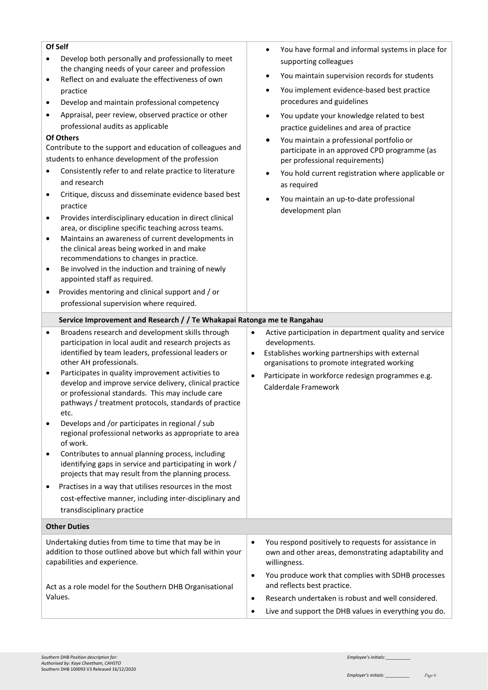| Of Self<br>Develop both personally and professionally to meet<br>the changing needs of your career and profession<br>Reflect on and evaluate the effectiveness of own<br>$\bullet$<br>practice<br>Develop and maintain professional competency<br>$\bullet$<br>Appraisal, peer review, observed practice or other<br>$\bullet$<br>professional audits as applicable<br>Of Others<br>Contribute to the support and education of colleagues and<br>students to enhance development of the profession<br>Consistently refer to and relate practice to literature<br>and research<br>Critique, discuss and disseminate evidence based best<br>$\bullet$<br>practice<br>Provides interdisciplinary education in direct clinical<br>$\bullet$<br>area, or discipline specific teaching across teams.<br>Maintains an awareness of current developments in<br>$\bullet$ | You have formal and informal systems in place for<br>$\bullet$<br>supporting colleagues<br>You maintain supervision records for students<br>٠<br>You implement evidence-based best practice<br>$\bullet$<br>procedures and guidelines<br>You update your knowledge related to best<br>practice guidelines and area of practice<br>You maintain a professional portfolio or<br>$\bullet$<br>participate in an approved CPD programme (as<br>per professional requirements)<br>You hold current registration where applicable or<br>as required<br>You maintain an up-to-date professional<br>$\bullet$<br>development plan |
|------------------------------------------------------------------------------------------------------------------------------------------------------------------------------------------------------------------------------------------------------------------------------------------------------------------------------------------------------------------------------------------------------------------------------------------------------------------------------------------------------------------------------------------------------------------------------------------------------------------------------------------------------------------------------------------------------------------------------------------------------------------------------------------------------------------------------------------------------------------|---------------------------------------------------------------------------------------------------------------------------------------------------------------------------------------------------------------------------------------------------------------------------------------------------------------------------------------------------------------------------------------------------------------------------------------------------------------------------------------------------------------------------------------------------------------------------------------------------------------------------|
| the clinical areas being worked in and make<br>recommendations to changes in practice.<br>Be involved in the induction and training of newly<br>$\bullet$<br>appointed staff as required.                                                                                                                                                                                                                                                                                                                                                                                                                                                                                                                                                                                                                                                                        |                                                                                                                                                                                                                                                                                                                                                                                                                                                                                                                                                                                                                           |
| Provides mentoring and clinical support and / or<br>$\bullet$                                                                                                                                                                                                                                                                                                                                                                                                                                                                                                                                                                                                                                                                                                                                                                                                    |                                                                                                                                                                                                                                                                                                                                                                                                                                                                                                                                                                                                                           |
| professional supervision where required.                                                                                                                                                                                                                                                                                                                                                                                                                                                                                                                                                                                                                                                                                                                                                                                                                         |                                                                                                                                                                                                                                                                                                                                                                                                                                                                                                                                                                                                                           |
|                                                                                                                                                                                                                                                                                                                                                                                                                                                                                                                                                                                                                                                                                                                                                                                                                                                                  |                                                                                                                                                                                                                                                                                                                                                                                                                                                                                                                                                                                                                           |
| Service Improvement and Research / / Te Whakapai Ratonga me te Rangahau                                                                                                                                                                                                                                                                                                                                                                                                                                                                                                                                                                                                                                                                                                                                                                                          |                                                                                                                                                                                                                                                                                                                                                                                                                                                                                                                                                                                                                           |
| Broadens research and development skills through<br>$\bullet$<br>participation in local audit and research projects as                                                                                                                                                                                                                                                                                                                                                                                                                                                                                                                                                                                                                                                                                                                                           | Active participation in department quality and service<br>$\bullet$<br>developments.                                                                                                                                                                                                                                                                                                                                                                                                                                                                                                                                      |
| identified by team leaders, professional leaders or<br>other AH professionals.                                                                                                                                                                                                                                                                                                                                                                                                                                                                                                                                                                                                                                                                                                                                                                                   | Establishes working partnerships with external<br>$\bullet$<br>organisations to promote integrated working                                                                                                                                                                                                                                                                                                                                                                                                                                                                                                                |
| Participates in quality improvement activities to<br>٠<br>develop and improve service delivery, clinical practice<br>or professional standards. This may include care<br>pathways / treatment protocols, standards of practice<br>etc.                                                                                                                                                                                                                                                                                                                                                                                                                                                                                                                                                                                                                           | Participate in workforce redesign programmes e.g.<br>$\bullet$<br>Calderdale Framework                                                                                                                                                                                                                                                                                                                                                                                                                                                                                                                                    |
| Develops and /or participates in regional / sub<br>regional professional networks as appropriate to area<br>of work.                                                                                                                                                                                                                                                                                                                                                                                                                                                                                                                                                                                                                                                                                                                                             |                                                                                                                                                                                                                                                                                                                                                                                                                                                                                                                                                                                                                           |
| Contributes to annual planning process, including<br>$\bullet$<br>identifying gaps in service and participating in work /<br>projects that may result from the planning process.                                                                                                                                                                                                                                                                                                                                                                                                                                                                                                                                                                                                                                                                                 |                                                                                                                                                                                                                                                                                                                                                                                                                                                                                                                                                                                                                           |
| Practises in a way that utilises resources in the most<br>٠<br>cost-effective manner, including inter-disciplinary and<br>transdisciplinary practice                                                                                                                                                                                                                                                                                                                                                                                                                                                                                                                                                                                                                                                                                                             |                                                                                                                                                                                                                                                                                                                                                                                                                                                                                                                                                                                                                           |
| <b>Other Duties</b>                                                                                                                                                                                                                                                                                                                                                                                                                                                                                                                                                                                                                                                                                                                                                                                                                                              |                                                                                                                                                                                                                                                                                                                                                                                                                                                                                                                                                                                                                           |
|                                                                                                                                                                                                                                                                                                                                                                                                                                                                                                                                                                                                                                                                                                                                                                                                                                                                  |                                                                                                                                                                                                                                                                                                                                                                                                                                                                                                                                                                                                                           |
| Undertaking duties from time to time that may be in<br>addition to those outlined above but which fall within your<br>capabilities and experience.                                                                                                                                                                                                                                                                                                                                                                                                                                                                                                                                                                                                                                                                                                               | You respond positively to requests for assistance in<br>$\bullet$<br>own and other areas, demonstrating adaptability and<br>willingness.                                                                                                                                                                                                                                                                                                                                                                                                                                                                                  |
|                                                                                                                                                                                                                                                                                                                                                                                                                                                                                                                                                                                                                                                                                                                                                                                                                                                                  | You produce work that complies with SDHB processes<br>$\bullet$                                                                                                                                                                                                                                                                                                                                                                                                                                                                                                                                                           |
| Act as a role model for the Southern DHB Organisational<br>Values.                                                                                                                                                                                                                                                                                                                                                                                                                                                                                                                                                                                                                                                                                                                                                                                               | and reflects best practice.<br>Research undertaken is robust and well considered.<br>$\bullet$                                                                                                                                                                                                                                                                                                                                                                                                                                                                                                                            |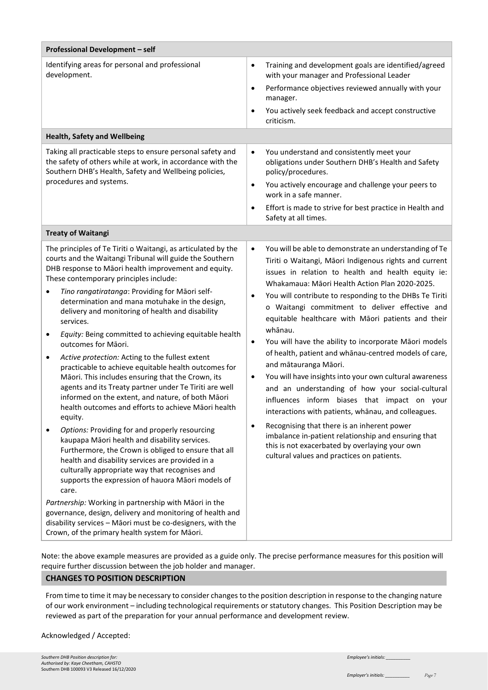| Professional Development - self                                                                                                                                                                                                                                                                                                                                                                                                                                                                                                                                                                                                                                                                                                                                                                                                                                                                                                                                                                                                                                                                                                                                                                                                                                                                                                                                                                                                                            |                                                                                                                                                                                                                                                                                                                                                                                                                                                                                                                                                                                                                                                                                                                                                                                                                                                                                                                                                                                                                                        |  |  |
|------------------------------------------------------------------------------------------------------------------------------------------------------------------------------------------------------------------------------------------------------------------------------------------------------------------------------------------------------------------------------------------------------------------------------------------------------------------------------------------------------------------------------------------------------------------------------------------------------------------------------------------------------------------------------------------------------------------------------------------------------------------------------------------------------------------------------------------------------------------------------------------------------------------------------------------------------------------------------------------------------------------------------------------------------------------------------------------------------------------------------------------------------------------------------------------------------------------------------------------------------------------------------------------------------------------------------------------------------------------------------------------------------------------------------------------------------------|----------------------------------------------------------------------------------------------------------------------------------------------------------------------------------------------------------------------------------------------------------------------------------------------------------------------------------------------------------------------------------------------------------------------------------------------------------------------------------------------------------------------------------------------------------------------------------------------------------------------------------------------------------------------------------------------------------------------------------------------------------------------------------------------------------------------------------------------------------------------------------------------------------------------------------------------------------------------------------------------------------------------------------------|--|--|
| Identifying areas for personal and professional<br>development.                                                                                                                                                                                                                                                                                                                                                                                                                                                                                                                                                                                                                                                                                                                                                                                                                                                                                                                                                                                                                                                                                                                                                                                                                                                                                                                                                                                            | Training and development goals are identified/agreed<br>$\bullet$<br>with your manager and Professional Leader<br>Performance objectives reviewed annually with your<br>$\bullet$<br>manager.<br>You actively seek feedback and accept constructive<br>$\bullet$<br>criticism.                                                                                                                                                                                                                                                                                                                                                                                                                                                                                                                                                                                                                                                                                                                                                         |  |  |
| <b>Health, Safety and Wellbeing</b>                                                                                                                                                                                                                                                                                                                                                                                                                                                                                                                                                                                                                                                                                                                                                                                                                                                                                                                                                                                                                                                                                                                                                                                                                                                                                                                                                                                                                        |                                                                                                                                                                                                                                                                                                                                                                                                                                                                                                                                                                                                                                                                                                                                                                                                                                                                                                                                                                                                                                        |  |  |
| Taking all practicable steps to ensure personal safety and<br>the safety of others while at work, in accordance with the<br>Southern DHB's Health, Safety and Wellbeing policies,<br>procedures and systems.                                                                                                                                                                                                                                                                                                                                                                                                                                                                                                                                                                                                                                                                                                                                                                                                                                                                                                                                                                                                                                                                                                                                                                                                                                               | You understand and consistently meet your<br>$\bullet$<br>obligations under Southern DHB's Health and Safety<br>policy/procedures.<br>You actively encourage and challenge your peers to<br>$\bullet$<br>work in a safe manner.<br>Effort is made to strive for best practice in Health and<br>$\bullet$<br>Safety at all times.                                                                                                                                                                                                                                                                                                                                                                                                                                                                                                                                                                                                                                                                                                       |  |  |
| <b>Treaty of Waitangi</b>                                                                                                                                                                                                                                                                                                                                                                                                                                                                                                                                                                                                                                                                                                                                                                                                                                                                                                                                                                                                                                                                                                                                                                                                                                                                                                                                                                                                                                  |                                                                                                                                                                                                                                                                                                                                                                                                                                                                                                                                                                                                                                                                                                                                                                                                                                                                                                                                                                                                                                        |  |  |
| The principles of Te Tiriti o Waitangi, as articulated by the<br>courts and the Waitangi Tribunal will guide the Southern<br>DHB response to Māori health improvement and equity.<br>These contemporary principles include:<br>Tino rangatiratanga: Providing for Māori self-<br>$\bullet$<br>determination and mana motuhake in the design,<br>delivery and monitoring of health and disability<br>services.<br>Equity: Being committed to achieving equitable health<br>$\bullet$<br>outcomes for Māori.<br>Active protection: Acting to the fullest extent<br>$\bullet$<br>practicable to achieve equitable health outcomes for<br>Māori. This includes ensuring that the Crown, its<br>agents and its Treaty partner under Te Tiriti are well<br>informed on the extent, and nature, of both Māori<br>health outcomes and efforts to achieve Māori health<br>equity.<br>Options: Providing for and properly resourcing<br>$\bullet$<br>kaupapa Māori health and disability services.<br>Furthermore, the Crown is obliged to ensure that all<br>health and disability services are provided in a<br>culturally appropriate way that recognises and<br>supports the expression of hauora Māori models of<br>care.<br>Partnership: Working in partnership with Māori in the<br>governance, design, delivery and monitoring of health and<br>disability services - Māori must be co-designers, with the<br>Crown, of the primary health system for Māori. | You will be able to demonstrate an understanding of Te<br>$\bullet$<br>Tiriti o Waitangi, Māori Indigenous rights and current<br>issues in relation to health and health equity ie:<br>Whakamaua: Māori Health Action Plan 2020-2025.<br>You will contribute to responding to the DHBs Te Tiriti<br>٠<br>o Waitangi commitment to deliver effective and<br>equitable healthcare with Māori patients and their<br>whānau.<br>You will have the ability to incorporate Māori models<br>$\bullet$<br>of health, patient and whānau-centred models of care,<br>and mātauranga Māori.<br>You will have insights into your own cultural awareness<br>$\bullet$<br>and an understanding of how your social-cultural<br>influences inform biases that impact on your<br>interactions with patients, whanau, and colleagues.<br>Recognising that there is an inherent power<br>$\bullet$<br>imbalance in-patient relationship and ensuring that<br>this is not exacerbated by overlaying your own<br>cultural values and practices on patients. |  |  |

Note: the above example measures are provided as a guide only. The precise performance measures for this position will require further discussion between the job holder and manager.

## **CHANGES TO POSITION DESCRIPTION**

From time to time it may be necessary to consider changes to the position description in response to the changing nature of our work environment – including technological requirements or statutory changes. This Position Description may be reviewed as part of the preparation for your annual performance and development review.

### Acknowledged / Accepted: